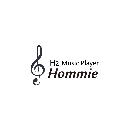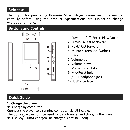### **Before use**

Thank you for purchasing **Hommie** Music Player. Please read the manual carefully before using the product. Specifications are subject to change without prior notice.

### **Buttons and Controls**



- 1. Power on/off; Enter; Play/Pause
- 2. Previous/Fast backward
- 3. Next/ Fast forward
- 4. Menu; Screen lock/Unlock
- 5. Back
- 6. Volume up
- 7. Volume down
- 8. Micro SD card slot
- 9. Mic/Reset hole
- 10/11. Headphone jack
- 12. USB interface

# **Quick Guide**

- **1. Charge the player**
- Charge by computer

Connect the player to a running computer via USB cable.

The USB cable can both be used for data transfer and charging the player. ● Use **5V/500mA** charger(The charger is not included).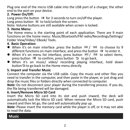Plug one end of the micro USB cable into the USB port of a charger, the other end to the port on your device.

### **2. Power On/Off:**

Long press the button  $\mathbb{M}$  for 3 seconds to turn on/off the player.

Long press button  $M$  to lock/unlock the screen.

Note: Volume buttons are still available when screen is locked.

### **3. Home Menu:**

The Home menu is the starting point of each application. There are 9 main functions on the home menu: Music/Bluetooth/FM radio/Recordings/Settings/ Folder View/Video/ EBook/ Tools.

### **4. Basic Operation:**

- When it's on main interface , press the button  $\mathbb{K}$  /  $\mathbb{M}$  to choose its 9 different functions on main interface, and press the button  $\mathbb{M}$  to enter it.
- $\bullet$  When it's on menu list interface, press button  $\mathbb{R}$ /  $\mathbb{M}$  to select items,
- press button  $\circ$  to confirm, press button  $\circ$  to go back.<br>
 When it's on music/ video/ recording playing interface, hold down button  $\triangleright$  to go back to the Home menu directly

### **5. Import and Transfer Music**

Connect the computer via the USB cable. Copy the music and other files you need to transfer in the computer, and then paste in the player, or just drag and drop the music files or folders directly when connected to computer. *Note:* Do not disconnect your player during the transferring process. If you do,

the file being transferred will be damaged.

### **6. Insert/Remove Micro SD Card**

Insert the Micro SD card into its slot and push inward, the deck will automatically lock the Micro SD card. When remove the Micro SD card, push inward and then let go, the card will automatically pop up. *Note:* Please insert the memory card while the player is off, or it may not able

to read the data.

# **Music**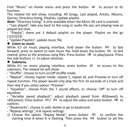Find "Music" on Home menu and press the button  $\mathbb{M}$  to access to its function.

The related list will show, including: All Songs, Last played, Artists, Albums,

Genres, Directory listing, Playlists, Update playlist. *Note:* "Directory listing" is only available when the Micro SD card is inserted.

**-** "Last played", take you back to the song or audio file you are playing now or played last time.

**-** "Playlist", there are 3 default playlist on the player: Playlist on the go [1]/[2]/[3].

**-** "Update Playlists", update music file. **Listen to music**

While it's on music playing interface, hold down the button  $DM$  to fast forward, press to switch to next music file; hold down the button  $\mathbb{R}$  to fast rewind, press to the previous song files. Press button  $\mathbb{M}$  to play/pause. Press the side buttons +/- to adjust volumes. **Submenu**

While it's on music playing interface, press button  $\mathbb M$  to access to the submenu. The related list will show:

**-** "Shuffle", choose to turn on/off shuffle mode.

**-** "Repeat", choose repeat mode: repeat 1, repeat all, and Preview or turn off repeat function. The player would only play the first 10 seconds of a track and then skip if you select option "Preview".

**-** "Equalizer", choose from the 7 sound effects, or choose "off" to turn off equalizer.

**-** "Variable speed playback", adjust playback speed from -8(Slowest) to +8(Fastest). Press button  $\mathbb{R}$ 1/ $\mathbb{M}$  to adjust the value and press button  $\mathbb{M}$  to confirm.

**-** "Bookmarks", choose to add, delete or go to bookmark.

- **-** "Repeat settings", A-B repeat settings:
- 1) Choose the option "Replay Mode", press button  $M$  to confirm the starting time A when A is flashing. Then press the  $\mathbb{M}$  button to set the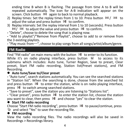ending time B when B is flashing. The passage from time A to B will be repeated automatically. The icon for A-B indication will appear on the screen. Click button  $\mathbb{M}$  again to back to normal playback.

- 2) Replay times: Set the replay times from 1 to 10. Press button  $\mathbb{K}$ /  $\mathbb{M}$  to adjust the value and press button  $\mathbb{M}$  to confirm.
- 3) Replay intervals: Set the replay interval from 1 to 10 (seconds). Press button  $\mathbb{R}$ /  $\mathbb{M}$  to adjust the value and press button  $\mathbb{M}$  to confirm.
- **-** "Delete", choose to delete the song that is playing now.
- **-** "Add to playlist"/"Remove from Playlist", choose to add to or remove from the 3 existing playlists.
- **-** "Play music from…", choose to play songs from all songs/artist/album/genre.

# **FM Radio**

Find "FM radio" on main menu with the button  $\mathbb{M}$  to enter to its function. While it's on radio playing interface, press button  $\mathbb M$  to access to its

submenu which includes: Auto tune, Turner Region, Save to preset, Clear preset, Start FM radio recording, Station list(Preset stations), and FM

# Recording. **Auto tune/Save to/Clear preset**

**-** "Auto tune", search stations automatically. You can see the searched stations in "Station list". When the searching is done, choose from the searched list and press button  $\mathbb{M}$  to enter the station, while is on radio playing interface, press  $\mathbb{M}$  to switch among searched stations.

**-** "Save to preset", save the station you are listening to "Stations list".

**-** "Clear preset", press button  $\sqrt{2}$  to enter the station list, choose the station you want to clear, then press  $\frac{D^{\text{min}}}{D^{\text{min}}}$  and choose "yes" to clear the station. **●** Start **FM** radio recording

Choose "Start FM radio recording", press button DIII to pause/continue, press and select "Yes" to save the recording file. **FM recording**

View the radio recording files. The radio recordings will also be saved in Recordings > Recordings library.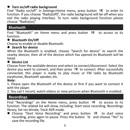### **Turn on/off radio background**

Find "Radio on/off" in Settings<Home menu, press button  $\mathbb{M}$  to enter its function. If you choose "Radio(off)", the radio background will be off when you exit the radio playing interface. To turn radio background function please choose "Radio(on)"

### **Bluetooth**

Find "Bluetooth" on Home menu and press button  $\mathbb{M}$  to access to its function. **Bluetooth On/Off**

Choose to enable or disable Bluetooth. **Search for device**

When the Bluetooth is enabled, choose "Search for device" to search the nearby devices, then all of the devices which has opened its Bluetooth will be listed. **Device List**

Choose from the available devices and select to connect/disconnect. Select the device you want to connect, and then press  $\mathbb{R}^n$  to connect. After successfully connected, this player is ready to play music or FM radio by Bluetooth earphones, Bluetooth speaker, etc.*Note:*

1. Please open the Bluetooth of the device at first if you want to connect it with the player.

2. You can't record, watch videos or view pictures when Bluetooth is enabled.

# **Recordings**

Find "Recordings" on the Home menu, press button  $\mathbb{M}$  to access to its function. The related list will show, including: Start voice recording, Recordings

library, Set rec bitrate, Track AVR mode.<br>
• Choose "Start Voice Recording" and press button  $\mathbb{M}$  to start voice recording, press again to pause. Press the button  $\Box$  and choose "Yes" to save the recording file.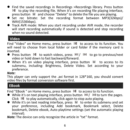- Find the saved recordings in Recordings >Recordings library. Press button  $M\blacksquare$  to play the recording file. When it's on recording file playing interface, press button  $M\blacksquare$  and choose "Delete" to delete the file you are playing.
- **•** Set rec bitrate: Set the recording format between MP3(32kbps)/ WAV(1536kbps). WAV(1536kbps). VAV(1536kbps). Track AVR mode: When you start recording under AVR mode, the recorder
- will start recording automatically if sound is detected and stop recording when no sound detected.

# **Video**

Find "Video" on Home menu, press button  $\mathbb{M}$  to access to its function. You will need to choose from local folder or card folder if the memory card is

- inserted.<br>
 Press button  $\overline{M}$  to watch videos, press  $\overline{M}$  /  $\overline{M}$  to go to previous/next video or hold down to fast backward/forward.
- $\bullet$  When it's on video playing interface, press button  $\mathbb M$  to access to its submenu, including: Brightness, Delete Video. Set according to your preference.

### *Note:*

This player can only support the .avi format in 128\*160, you should convert video files by format conversion software first.

## **EBook**

- Find "EBook " on Home menu, press button  $\overline{DM}$  to access to its function.<br>
 While it's on text playing interface, press button  $\overline{RM}$  /  $\overline{DM}$  to turn the pages.<br>
Click  $\overline{DM}$  to play automatically, click again
- $\bullet$  While it's on text reading interface, press  $\mathbb M$  to enter its submenu and set your preference, including Add bookmark, Bookmark select, Delete bookmark, Delete ebook, Auto playtime settings (set the automatic playing interval).

*Note:* The device can only recognize the article in "txt" format.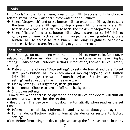# **Tools**

Find "Tools" on the Home menu, press button  $\mathbb{M}$  to access to its function. A related list will show "Calendar", "Stopwatch" and "Pictures".

- **•** Select "Stopwatch" and press button  $\mathbb{M}$  to enter, tap  $\mathbb{M}$  again to start the timer, then press  $\mathbb{M}$  again to stop or press  $\mathbb{M}$  to resume. Press  $\mathbb{M}$ to start a new one. Press  $\Rightarrow$  to go back. The maximum Stopwatch list is 5.<br>• Select "Pictures" and press button MI to view pictures, press  $\mathbb{K}$  /  $\mathbb{M}$  to
- go to previous/next picture. When it's on picture viewing interface, press button M to access to its submenu, including: Brightness, Slideshow settings, Delete picture. Set according to your preference.

## **Settings**

Find "Settings" on main menu with the button  $\mathbb{M}$  to enter to its function. A related list will show, including: Language, Date and time, Screensaver, Display settings, Radio on/off, Shutdown settings, Information, Format Device, Factory

- settings.<br>
 Date and time: Choose "Date settings" to set date format and date. To set date, press button  $\mathbb M$  to switch among month|day|year, press button  $\mathbb{R}$  /  $\mathbb{M}$  to adjust the value of month|day|year. Set time under "Time
- 
- setting" and adjust the time in the same way.<br>
 Display settings: Set Brightness, Backlight timer.<br>
 Radio on/off: Choose to turn on/off radio background.<br>
 Shutdown settings
- 

**-** Power off: When there is no operation on the device, the device will shut off automatically when reaches the set time;

**-** Sleep timer: The device will shut down automatically when reaches the set

- time.<br>• Information: check player information and disk space about your player;
- Format device/Factory settings: Format the device or restore to factory settings. *Note:* Before formatting the device, please backup the file so as not to lose any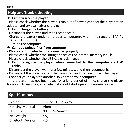files.

# **Help and Troubleshooting**

**Can't turn on the player**

**-** Please check whether the player is run out of power, connect the player to an adapter and try again after charging. **Can't charge the battery**

**-** Disconnect the player, and then reconnect it.

**-** Charge the battery under an proper temperature within the range of5℃(41  $\mathrm{F}$ ) to 35°C (95 °F).

# - Turn on the computer. **Can't download files from computer**

- **-** Please confirm whether it's connected properly;
- **-** Please check whether the storage space of the internal memory is full;
- 
- **-** Please check whether the USB cable is damaged. **Can't recognize the player when connected to the computer via USB cable.**
- **-** Disconnect the player, wait for a few minutes, and then reconnect it.
- **-** Disconnect the player, restart the computer, and then reconnect the player.
- **-** Connect your player to anotherUSB port on your computer.

**-** If the player has not been used for a long period of time, charge the player for about 10 minutes, after which it should start operating normally again.

# **Specifications**

| Screen                   | 1.8 inch TFT display |  |
|--------------------------|----------------------|--|
| <b>Housing Material</b>  | Aluminum             |  |
| Unit Size                | $90mm*42mm*10mm$     |  |
| Net Weight               | 48g                  |  |
| <b>Bluetooth Version</b> | 4.0                  |  |